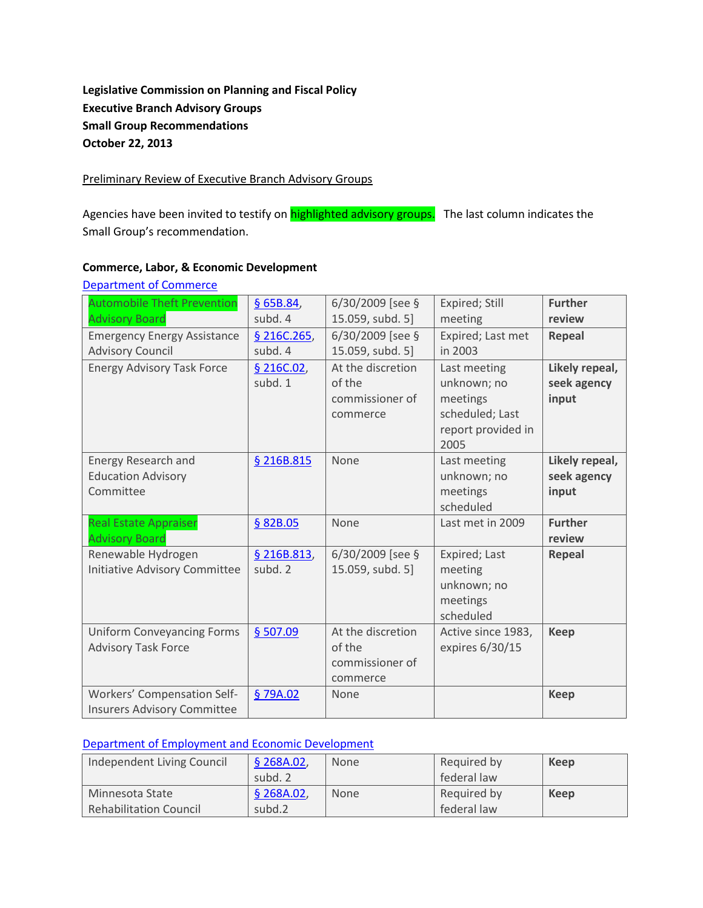# **Legislative Commission on Planning and Fiscal Policy Executive Branch Advisory Groups Small Group Recommendations October 22, 2013**

#### Preliminary Review of Executive Branch Advisory Groups

Agencies have been invited to testify on **highlighted advisory groups.** The last column indicates the Small Group's recommendation.

### **Commerce, Labor, & Economic Development**

| <b>Automobile Theft Prevention</b>   | \$65B.84,   | 6/30/2009 [see §  | Expired; Still     | <b>Further</b> |
|--------------------------------------|-------------|-------------------|--------------------|----------------|
| <b>Advisory Board</b>                | subd. 4     | 15.059, subd. 5]  | meeting            | review         |
| <b>Emergency Energy Assistance</b>   | \$216C.265, | 6/30/2009 [see §  | Expired; Last met  | <b>Repeal</b>  |
| <b>Advisory Council</b>              | subd. 4     | 15.059, subd. 5]  | in 2003            |                |
| <b>Energy Advisory Task Force</b>    | § 216C.02   | At the discretion | Last meeting       | Likely repeal, |
|                                      | subd. 1     | of the            | unknown; no        | seek agency    |
|                                      |             | commissioner of   | meetings           | input          |
|                                      |             | commerce          | scheduled; Last    |                |
|                                      |             |                   | report provided in |                |
|                                      |             |                   | 2005               |                |
| Energy Research and                  | § 216B.815  | None              | Last meeting       | Likely repeal, |
| <b>Education Advisory</b>            |             |                   | unknown; no        | seek agency    |
| Committee                            |             |                   | meetings           | input          |
|                                      |             |                   | scheduled          |                |
| <b>Real Estate Appraiser</b>         | § 82B.05    | None              | Last met in 2009   | <b>Further</b> |
| <b>Advisory Board</b>                |             |                   |                    | review         |
| Renewable Hydrogen                   | § 216B.813, | 6/30/2009 [see §  | Expired; Last      | <b>Repeal</b>  |
| <b>Initiative Advisory Committee</b> | subd. 2     | 15.059, subd. 5]  | meeting            |                |
|                                      |             |                   | unknown; no        |                |
|                                      |             |                   | meetings           |                |
|                                      |             |                   | scheduled          |                |
| <b>Uniform Conveyancing Forms</b>    | \$507.09    | At the discretion | Active since 1983, | <b>Keep</b>    |
| <b>Advisory Task Force</b>           |             | of the            | expires 6/30/15    |                |
|                                      |             | commissioner of   |                    |                |
|                                      |             | commerce          |                    |                |
| Workers' Compensation Self-          | §79A.02     | None              |                    | <b>Keep</b>    |
| <b>Insurers Advisory Committee</b>   |             |                   |                    |                |

# [Department of Commerce](http://www.commissions.leg.state.mn.us/lcpfp/advisory_groups/2013/Commerce_AdvisoryGroups.pdf)

### [Department of Employment and Economic Development](http://www.commissions.leg.state.mn.us/lcpfp/advisory_groups/2013/DEED_AdvisoryGroups.pdf)

| Independent Living Council    | \$268A.02, | <b>None</b> | Required by | Keep |
|-------------------------------|------------|-------------|-------------|------|
|                               | subd. 2    |             | federal law |      |
| Minnesota State               | \$268A.02  | <b>None</b> | Required by | Keep |
| <b>Rehabilitation Council</b> | subd.2     |             | federal law |      |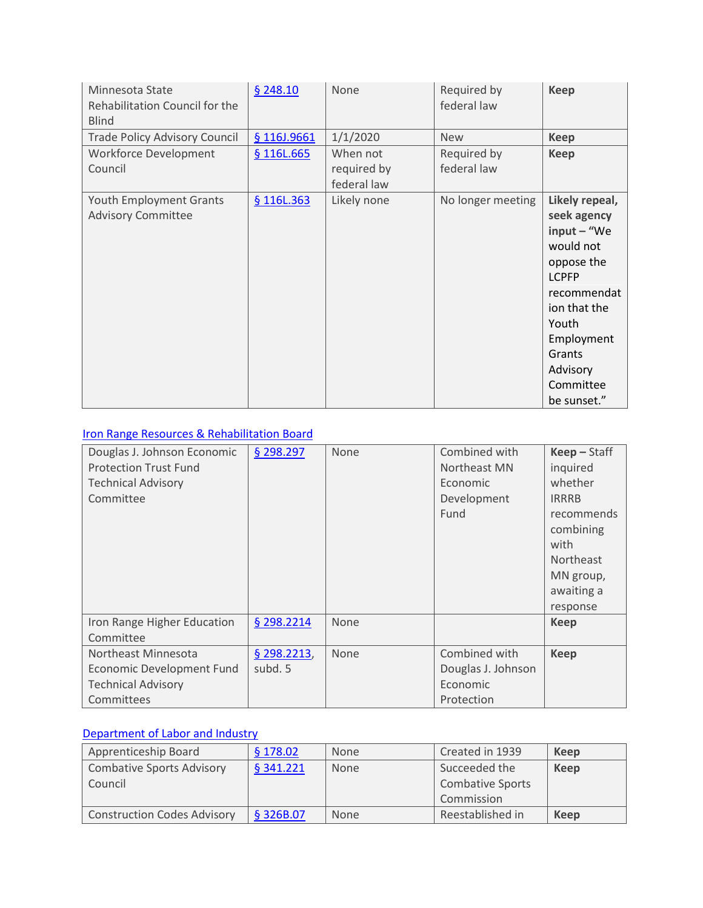| Minnesota State<br>Rehabilitation Council for the<br><b>Blind</b> | \$248.10    | None                                   | Required by<br>federal law | <b>Keep</b>                                                                                                                                                                                       |
|-------------------------------------------------------------------|-------------|----------------------------------------|----------------------------|---------------------------------------------------------------------------------------------------------------------------------------------------------------------------------------------------|
| <b>Trade Policy Advisory Council</b>                              | § 116J.9661 | 1/1/2020                               | <b>New</b>                 | <b>Keep</b>                                                                                                                                                                                       |
| <b>Workforce Development</b><br>Council                           | § 116L.665  | When not<br>required by<br>federal law | Required by<br>federal law | <b>Keep</b>                                                                                                                                                                                       |
| Youth Employment Grants<br><b>Advisory Committee</b>              | § 116L.363  | Likely none                            | No longer meeting          | Likely repeal,<br>seek agency<br>$input - "We$<br>would not<br>oppose the<br><b>LCPFP</b><br>recommendat<br>ion that the<br>Youth<br>Employment<br>Grants<br>Advisory<br>Committee<br>be sunset." |

# [Iron Range Resources & Rehabilitation Board](http://www.commissions.leg.state.mn.us/lcpfp/advisory_groups/2013/IRRB_AdvisoryGroups.pdf)

| Douglas J. Johnson Economic<br><b>Protection Trust Fund</b><br><b>Technical Advisory</b><br>Committee | § 298.297              | None | Combined with<br>Northeast MN<br>Economic<br>Development<br>Fund | $Keep - Staff$<br>inquired<br>whether<br><b>IRRRB</b><br>recommends<br>combining<br>with<br><b>Northeast</b><br>MN group,<br>awaiting a<br>response |
|-------------------------------------------------------------------------------------------------------|------------------------|------|------------------------------------------------------------------|-----------------------------------------------------------------------------------------------------------------------------------------------------|
| Iron Range Higher Education<br>Committee                                                              | § 298.2214             | None |                                                                  | <b>Keep</b>                                                                                                                                         |
| Northeast Minnesota<br>Economic Development Fund<br><b>Technical Advisory</b><br>Committees           | § 298.2213,<br>subd. 5 | None | Combined with<br>Douglas J. Johnson<br>Economic<br>Protection    | <b>Keep</b>                                                                                                                                         |

# [Department of Labor and Industry](http://www.commissions.leg.state.mn.us/lcpfp/advisory_groups/2013/DOLI_AdvisoryGroups2.pdf)

| Apprenticeship Board               | § 178.02  | <b>None</b> | Created in 1939         | <b>Keep</b> |
|------------------------------------|-----------|-------------|-------------------------|-------------|
| <b>Combative Sports Advisory</b>   | § 341.221 | <b>None</b> | Succeeded the           | Keep        |
| Council                            |           |             | <b>Combative Sports</b> |             |
|                                    |           |             | Commission              |             |
| <b>Construction Codes Advisory</b> | § 326B.07 | <b>None</b> | Reestablished in        | Keep        |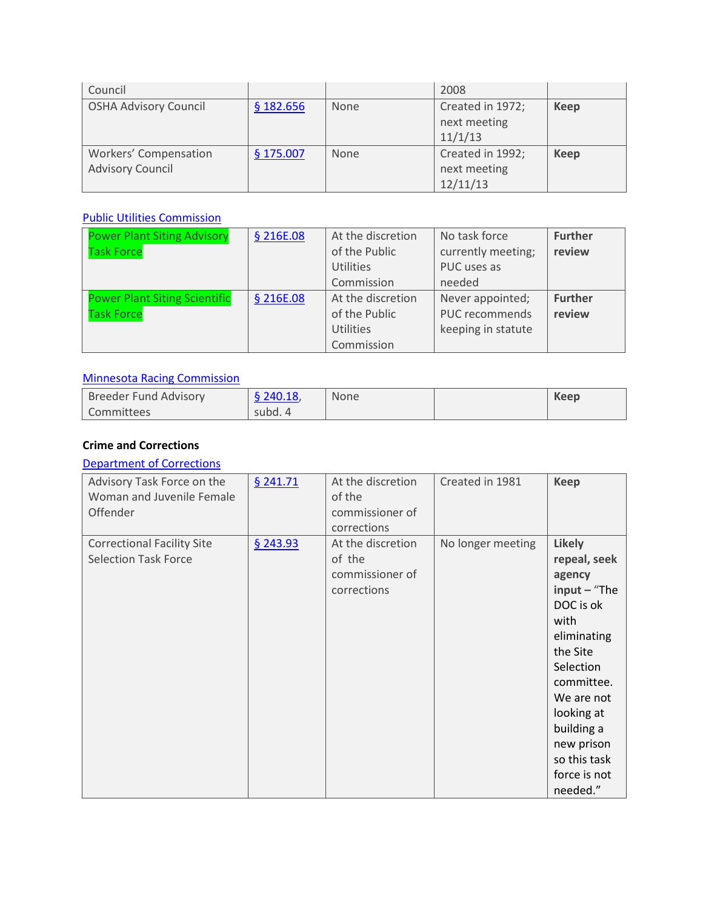| Council                                          |             |             | 2008                                         |      |
|--------------------------------------------------|-------------|-------------|----------------------------------------------|------|
| <b>OSHA Advisory Council</b>                     | \$182.656   | <b>None</b> | Created in 1972;<br>next meeting<br>11/1/13  | Keep |
| Workers' Compensation<br><b>Advisory Council</b> | $§$ 175.007 | <b>None</b> | Created in 1992;<br>next meeting<br>12/11/13 | Keep |

# [Public Utilities Commission](http://www.commissions.leg.state.mn.us/lcpfp/advisory_groups/2013/PUC_AdvisoryGroups.pdf)

| <b>Power Plant Siting Advisory</b>   | § 216E.08 | At the discretion | No task force      | <b>Further</b> |
|--------------------------------------|-----------|-------------------|--------------------|----------------|
| <b>Task Force</b>                    |           | of the Public     | currently meeting; | review         |
|                                      |           | <b>Utilities</b>  | PUC uses as        |                |
|                                      |           | Commission        | needed             |                |
| <b>Power Plant Siting Scientific</b> | § 216E.08 | At the discretion | Never appointed;   | <b>Further</b> |
| <b>Task Force</b>                    |           | of the Public     | PUC recommends     | review         |
|                                      |           | Utilities         | keeping in statute |                |
|                                      |           | Commission        |                    |                |

### [Minnesota Racing Commission](http://www.commissions.leg.state.mn.us/lcpfp/advisory_groups/2013/MRC_AdvisoryGroups.pdf)

| Breeder Fund Advisory | $§$ 240.18, | <b>None</b> | Keep |
|-----------------------|-------------|-------------|------|
| Committees            | subd. 4     |             |      |

### **Crime and Corrections**

# [Department of Corrections](http://www.commissions.leg.state.mn.us/lcpfp/advisory_groups/2013/DOC_AdvisoryGroups.pdf)

| Advisory Task Force on the<br>Woman and Juvenile Female<br>Offender | \$241.71 | At the discretion<br>of the<br>commissioner of<br>corrections | Created in 1981   | <b>Keep</b>                                                                                                                                                                                                                              |
|---------------------------------------------------------------------|----------|---------------------------------------------------------------|-------------------|------------------------------------------------------------------------------------------------------------------------------------------------------------------------------------------------------------------------------------------|
| <b>Correctional Facility Site</b><br><b>Selection Task Force</b>    | \$243.93 | At the discretion<br>of the<br>commissioner of<br>corrections | No longer meeting | <b>Likely</b><br>repeal, seek<br>agency<br>$input - "The$<br>DOC is ok<br>with<br>eliminating<br>the Site<br>Selection<br>committee.<br>We are not<br>looking at<br>building a<br>new prison<br>so this task<br>force is not<br>needed." |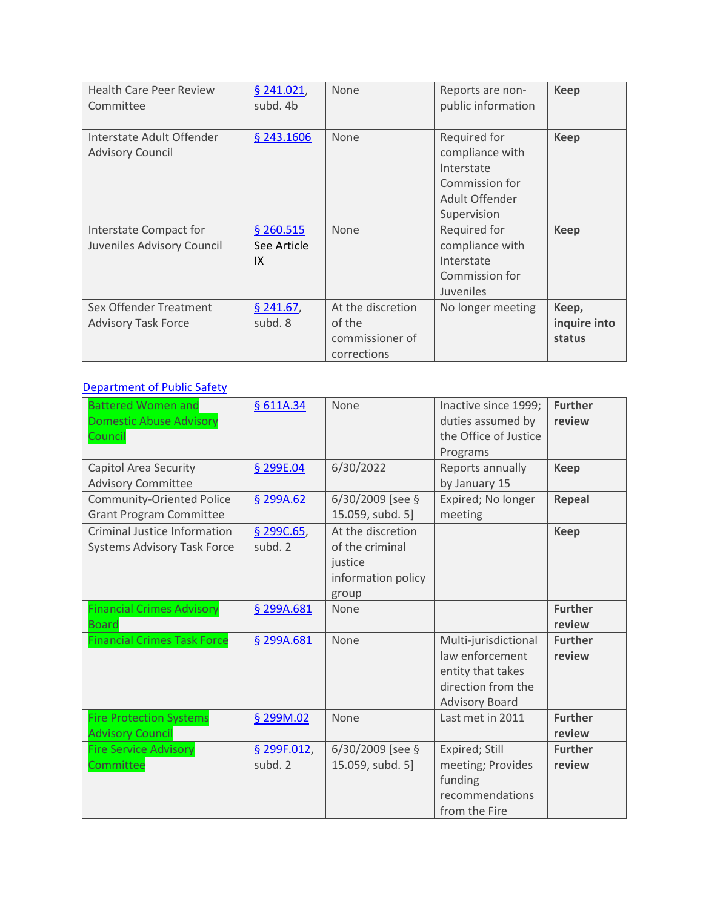| <b>Health Care Peer Review</b><br>Committee          | \$241.021,<br>subd. 4b         | None                                                          | Reports are non-<br>public information                                                           | <b>Keep</b>                     |
|------------------------------------------------------|--------------------------------|---------------------------------------------------------------|--------------------------------------------------------------------------------------------------|---------------------------------|
| Interstate Adult Offender<br><b>Advisory Council</b> | § 243.1606                     | None                                                          | Required for<br>compliance with<br>Interstate<br>Commission for<br>Adult Offender<br>Supervision | <b>Keep</b>                     |
| Interstate Compact for<br>Juveniles Advisory Council | \$260.515<br>See Article<br>IX | None                                                          | Required for<br>compliance with<br>Interstate<br>Commission for<br><b>Juveniles</b>              | <b>Keep</b>                     |
| Sex Offender Treatment<br><b>Advisory Task Force</b> | $§$ 241.67,<br>subd. 8         | At the discretion<br>of the<br>commissioner of<br>corrections | No longer meeting                                                                                | Keep,<br>inquire into<br>status |

# [Department of Public Safety](http://www.commissions.leg.state.mn.us/lcpfp/advisory_groups/2013/DPS_AdvisoryGroups.pdf)

| <b>Battered Women and</b><br><b>Domestic Abuse Advisory</b><br>Council    | § 611A.34              | None                                                                           | Inactive since 1999;<br>duties assumed by<br>the Office of Justice<br>Programs                              | <b>Further</b><br>review |
|---------------------------------------------------------------------------|------------------------|--------------------------------------------------------------------------------|-------------------------------------------------------------------------------------------------------------|--------------------------|
| Capitol Area Security<br><b>Advisory Committee</b>                        | § 299E.04              | 6/30/2022                                                                      | Reports annually<br>by January 15                                                                           | <b>Keep</b>              |
| <b>Community-Oriented Police</b><br><b>Grant Program Committee</b>        | \$299A.62              | 6/30/2009 [see §<br>15.059, subd. 5]                                           | Expired; No longer<br>meeting                                                                               | <b>Repeal</b>            |
| <b>Criminal Justice Information</b><br><b>Systems Advisory Task Force</b> | § 299C.65<br>subd. 2   | At the discretion<br>of the criminal<br>justice<br>information policy<br>group |                                                                                                             | <b>Keep</b>              |
| <b>Financial Crimes Advisory</b><br><b>Board</b>                          | § 299A.681             | None                                                                           |                                                                                                             | <b>Further</b><br>review |
| <b>Financial Crimes Task Force</b>                                        | § 299A.681             | None                                                                           | Multi-jurisdictional<br>law enforcement<br>entity that takes<br>direction from the<br><b>Advisory Board</b> | <b>Further</b><br>review |
| <b>Fire Protection Systems</b><br><b>Advisory Council</b>                 | § 299M.02              | None                                                                           | Last met in 2011                                                                                            | <b>Further</b><br>review |
| <b>Fire Service Advisory</b><br>Committee                                 | § 299F.012,<br>subd. 2 | $6/30/2009$ [see §<br>15.059, subd. 5]                                         | Expired; Still<br>meeting; Provides<br>funding<br>recommendations<br>from the Fire                          | <b>Further</b><br>review |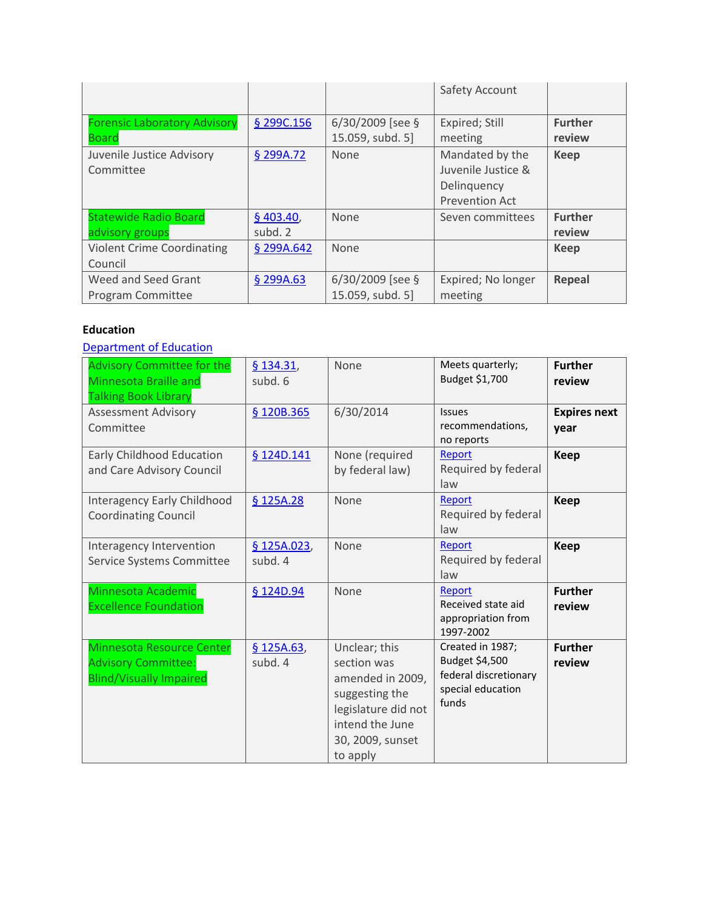|                                                     |                      |                                        | Safety Account                                                                |                          |
|-----------------------------------------------------|----------------------|----------------------------------------|-------------------------------------------------------------------------------|--------------------------|
| <b>Forensic Laboratory Advisory</b><br><b>Board</b> | § 299C.156           | $6/30/2009$ [see §<br>15.059, subd. 5] | Expired; Still<br>meeting                                                     | <b>Further</b><br>review |
| Juvenile Justice Advisory<br>Committee              | § 299A.72            | <b>None</b>                            | Mandated by the<br>Juvenile Justice &<br>Delinguency<br><b>Prevention Act</b> | <b>Keep</b>              |
| <b>Statewide Radio Board</b><br>advisory groups     | \$403.40,<br>subd. 2 | <b>None</b>                            | Seven committees                                                              | <b>Further</b><br>review |
| <b>Violent Crime Coordinating</b><br>Council        | § 299A.642           | None                                   |                                                                               | <b>Keep</b>              |
| Weed and Seed Grant<br>Program Committee            | \$299A.63            | $6/30/2009$ [see §<br>15.059, subd. 5] | Expired; No longer<br>meeting                                                 | Repeal                   |

### **Education**

# [Department of Education](http://www.commissions.leg.state.mn.us/lcpfp/advisory_groups/2013/DOE_AdvisoryGroups2.pdf)

| <b>Advisory Committee for the</b><br>Minnesota Braille and<br><b>Talking Book Library</b> | $§$ 134.31,<br>subd. 6 | None                                                                                                                                         | Meets quarterly;<br>Budget \$1,700                                                        | <b>Further</b><br>review    |
|-------------------------------------------------------------------------------------------|------------------------|----------------------------------------------------------------------------------------------------------------------------------------------|-------------------------------------------------------------------------------------------|-----------------------------|
| <b>Assessment Advisory</b><br>Committee                                                   | § 120B.365             | 6/30/2014                                                                                                                                    | <b>Issues</b><br>recommendations,<br>no reports                                           | <b>Expires next</b><br>vear |
| Early Childhood Education<br>and Care Advisory Council                                    | § 124D.141             | None (required<br>by federal law)                                                                                                            | Report<br>Required by federal<br>law                                                      | <b>Keep</b>                 |
| Interagency Early Childhood<br><b>Coordinating Council</b>                                | § 125A.28              | None                                                                                                                                         | Report<br>Required by federal<br>law                                                      | <b>Keep</b>                 |
| Interagency Intervention<br>Service Systems Committee                                     | \$125A.023,<br>subd. 4 | None                                                                                                                                         | Report<br>Required by federal<br>law                                                      | <b>Keep</b>                 |
| Minnesota Academic<br><b>Excellence Foundation</b>                                        | § 124D.94              | None                                                                                                                                         | Report<br>Received state aid<br>appropriation from<br>1997-2002                           | <b>Further</b><br>review    |
| Minnesota Resource Center<br><b>Advisory Committee:</b><br><b>Blind/Visually Impaired</b> | \$125A.63,<br>subd. 4  | Unclear; this<br>section was<br>amended in 2009,<br>suggesting the<br>legislature did not<br>intend the June<br>30, 2009, sunset<br>to apply | Created in 1987;<br>Budget \$4,500<br>federal discretionary<br>special education<br>funds | <b>Further</b><br>review    |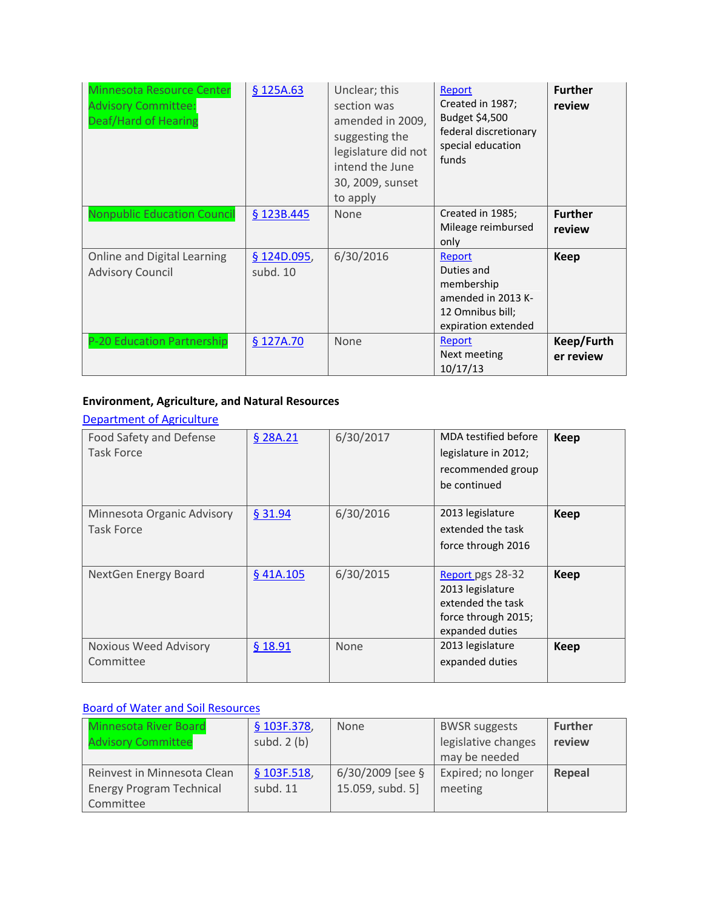| Minnesota Resource Center<br><b>Advisory Committee:</b><br>Deaf/Hard of Hearing | \$125A.63               | Unclear; this<br>section was<br>amended in 2009,<br>suggesting the<br>legislature did not<br>intend the June<br>30, 2009, sunset<br>to apply | Report<br>Created in 1987;<br>Budget \$4,500<br>federal discretionary<br>special education<br>funds | <b>Further</b><br>review |
|---------------------------------------------------------------------------------|-------------------------|----------------------------------------------------------------------------------------------------------------------------------------------|-----------------------------------------------------------------------------------------------------|--------------------------|
| <b>Nonpublic Education Council</b>                                              | § 123B.445              | <b>None</b>                                                                                                                                  | Created in 1985;<br>Mileage reimbursed<br>only                                                      | <b>Further</b><br>review |
| Online and Digital Learning<br><b>Advisory Council</b>                          | § 124D.095,<br>subd. 10 | 6/30/2016                                                                                                                                    | Report<br>Duties and<br>membership<br>amended in 2013 K-<br>12 Omnibus bill;<br>expiration extended | Keep                     |
| P-20 Education Partnership                                                      | § 127A.70               | None                                                                                                                                         | Report<br>Next meeting<br>10/17/13                                                                  | Keep/Furth<br>er review  |

# **Environment, Agriculture, and Natural Resources**

#### [Department of Agriculture](http://www.commissions.leg.state.mn.us/lcpfp/advisory_groups/2013/MDA_AdvisoryGroups.pdf)

| Food Safety and Defense<br><b>Task Force</b>    | § 28A.21    | 6/30/2017   | MDA testified before<br>legislature in 2012;<br>recommended group<br>be continued                   | <b>Keep</b> |
|-------------------------------------------------|-------------|-------------|-----------------------------------------------------------------------------------------------------|-------------|
| Minnesota Organic Advisory<br><b>Task Force</b> | \$31.94     | 6/30/2016   | 2013 legislature<br>extended the task<br>force through 2016                                         | <b>Keep</b> |
| NextGen Energy Board                            | $§$ 41A.105 | 6/30/2015   | Report pgs 28-32<br>2013 legislature<br>extended the task<br>force through 2015;<br>expanded duties | <b>Keep</b> |
| <b>Noxious Weed Advisory</b><br>Committee       | $§$ 18.91   | <b>None</b> | 2013 legislature<br>expanded duties                                                                 | <b>Keep</b> |

# [Board of Water and Soil Resources](http://www.commissions.leg.state.mn.us/lcpfp/advisory_groups/2013/BWSR_AdvisoryGroup.pdf)

| Minnesota River Board<br><b>Advisory Committee</b> | § 103F.378,<br>subd. $2(b)$ | <b>None</b>        | <b>BWSR</b> suggests<br>legislative changes<br>may be needed | <b>Further</b><br>review |
|----------------------------------------------------|-----------------------------|--------------------|--------------------------------------------------------------|--------------------------|
| Reinvest in Minnesota Clean                        | \$103F.518,                 | $6/30/2009$ [see § | Expired; no longer                                           | Repeal                   |
| <b>Energy Program Technical</b>                    | subd. 11                    | 15.059, subd. 5]   | meeting                                                      |                          |
| Committee                                          |                             |                    |                                                              |                          |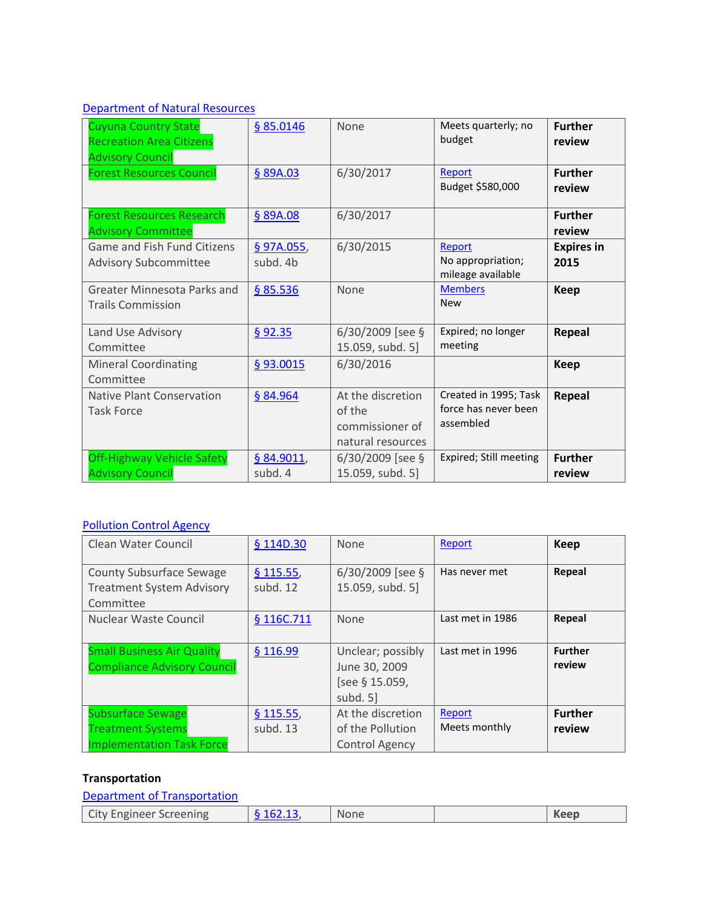### [Department of Natural Resources](http://www.commissions.leg.state.mn.us/lcpfp/advisory_groups/2013/DNR_AdvisoryGroups.pdf)

| <b>Cuyuna Country State</b><br><b>Recreation Area Citizens</b><br><b>Advisory Council</b> | § 85.0146              | None                                                                | Meets quarterly; no<br>budget                              | <b>Further</b><br>review  |
|-------------------------------------------------------------------------------------------|------------------------|---------------------------------------------------------------------|------------------------------------------------------------|---------------------------|
| <b>Forest Resources Council</b>                                                           | § 89A.03               | 6/30/2017                                                           | Report<br>Budget \$580,000                                 | <b>Further</b><br>review  |
| <b>Forest Resources Research</b><br><b>Advisory Committee</b>                             | § 89A.08               | 6/30/2017                                                           |                                                            | <b>Further</b><br>review  |
| Game and Fish Fund Citizens<br><b>Advisory Subcommittee</b>                               | § 97A.055,<br>subd. 4b | 6/30/2015                                                           | Report<br>No appropriation;<br>mileage available           | <b>Expires in</b><br>2015 |
| <b>Greater Minnesota Parks and</b><br><b>Trails Commission</b>                            | \$85.536               | None                                                                | <b>Members</b><br><b>New</b>                               | Keep                      |
| Land Use Advisory<br>Committee                                                            | \$92.35                | $6/30/2009$ [see §<br>15.059, subd. 5]                              | Expired; no longer<br>meeting                              | Repeal                    |
| <b>Mineral Coordinating</b><br>Committee                                                  | §93.0015               | 6/30/2016                                                           |                                                            | <b>Keep</b>               |
| Native Plant Conservation<br><b>Task Force</b>                                            | § 84.964               | At the discretion<br>of the<br>commissioner of<br>natural resources | Created in 1995; Task<br>force has never been<br>assembled | Repeal                    |
| Off-Highway Vehicle Safety<br><b>Advisory Council</b>                                     | § 84.9011,<br>subd. 4  | $6/30/2009$ [see §<br>15.059, subd. 5]                              | Expired; Still meeting                                     | <b>Further</b><br>review  |

# [Pollution Control Agency](http://www.commissions.leg.state.mn.us/lcpfp/advisory_groups/2013/PCA_AdvisoryGroups.pdf)

| Clean Water Council                                                                      | § 114D.30               | None                                                             | Report                  | <b>Keep</b>              |
|------------------------------------------------------------------------------------------|-------------------------|------------------------------------------------------------------|-------------------------|--------------------------|
| <b>County Subsurface Sewage</b><br><b>Treatment System Advisory</b><br>Committee         | \$115.55,<br>subd. 12   | $6/30/2009$ [see §<br>15.059, subd. 5]                           | Has never met           | Repeal                   |
| Nuclear Waste Council                                                                    | § 116C.711              | None                                                             | Last met in 1986        | Repeal                   |
| <b>Small Business Air Quality</b><br><b>Compliance Advisory Council</b>                  | \$116.99                | Unclear; possibly<br>June 30, 2009<br>[see § 15.059,<br>subd. 5] | Last met in 1996        | <b>Further</b><br>review |
| <b>Subsurface Sewage</b><br><b>Treatment Systems</b><br><b>Implementation Task Force</b> | \$115.55,<br>subd. $13$ | At the discretion<br>of the Pollution<br><b>Control Agency</b>   | Report<br>Meets monthly | <b>Further</b><br>review |

#### **Transportation**

| Department of Transportation |                  |             |      |
|------------------------------|------------------|-------------|------|
| City Engineer Screening      | $\{6, 162, 13\}$ | <b>None</b> | Keep |